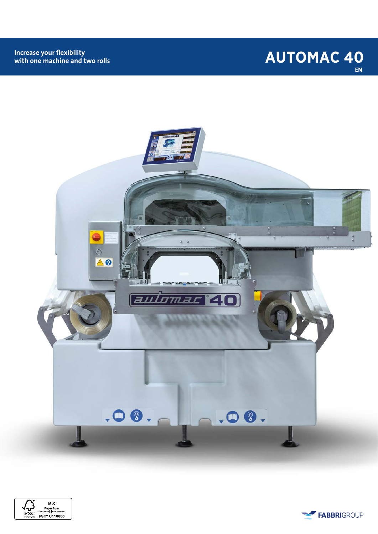## **AUTOMAC 40 EN**